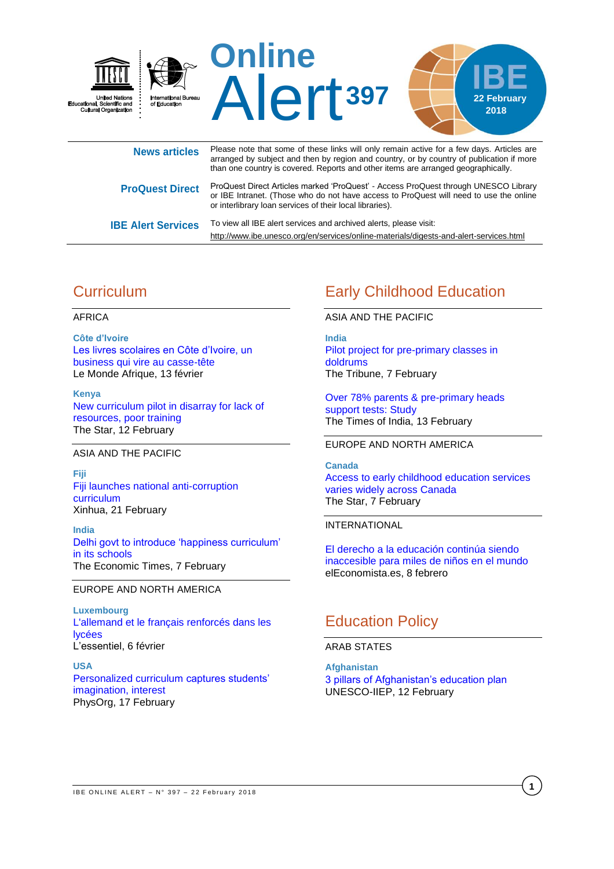

| <b>NGWS ALUAGE</b>        | arranged by subject and then by region and country, or by country of publication if more<br>than one country is covered. Reports and other items are arranged geographically.                                                             |
|---------------------------|-------------------------------------------------------------------------------------------------------------------------------------------------------------------------------------------------------------------------------------------|
| <b>ProQuest Direct</b>    | ProQuest Direct Articles marked 'ProQuest' - Access ProQuest through UNESCO Library<br>or IBE Intranet. (Those who do not have access to ProQuest will need to use the online<br>or interlibrary loan services of their local libraries). |
| <b>IBE Alert Services</b> | To view all IBE alert services and archived alerts, please visit:<br>http://www.ibe.unesco.org/en/services/online-materials/digests-and-alert-services.html                                                                               |

# **Curriculum**

### AFRICA

**Côte d'Ivoire** [Les livres scolaires en Côte d'Ivoire, un](http://www.lemonde.fr/afrique/article/2018/02/13/les-livres-scolaires-en-cote-d-ivoire-un-business-qui-vire-au-casse-tete_5256326_3212.html)  [business qui vire au casse-tête](http://www.lemonde.fr/afrique/article/2018/02/13/les-livres-scolaires-en-cote-d-ivoire-un-business-qui-vire-au-casse-tete_5256326_3212.html) Le Monde Afrique, 13 février

**Kenya** [New curriculum pilot in disarray for lack of](https://www.the-star.co.ke/news/2018/02/12/new-curriculum-pilot-in-disarray-for-lack-of-resources-poor-training_c1712960)  [resources, poor training](https://www.the-star.co.ke/news/2018/02/12/new-curriculum-pilot-in-disarray-for-lack-of-resources-poor-training_c1712960) The Star, 12 February

### ASIA AND THE PACIFIC

**Fiji** [Fiji launches national anti-corruption](http://www.xinhuanet.com/english/2018-02/21/c_136989184.htm)  [curriculum](http://www.xinhuanet.com/english/2018-02/21/c_136989184.htm) Xinhua, 21 February

**India** [Delhi govt to introduce 'happiness curriculum'](https://economictimes.indiatimes.com/industry/services/education/delhi-govt-to-introduce-happiness-curriculum-in-its-schools/articleshow/62825807.cms)  [in its schools](https://economictimes.indiatimes.com/industry/services/education/delhi-govt-to-introduce-happiness-curriculum-in-its-schools/articleshow/62825807.cms) The Economic Times, 7 February

### EUROPE AND NORTH AMERICA

**Luxembourg** [L'allemand et le français renforcés dans les](http://www.lessentiel.lu/fr/luxembourg/story/L-allemand-et-le-fran-ais-renforces-dans-les-lycees-10993288)  [lycées](http://www.lessentiel.lu/fr/luxembourg/story/L-allemand-et-le-fran-ais-renforces-dans-les-lycees-10993288) L'essentiel, 6 février

**USA** [Personalized curriculum captures students'](https://phys.org/news/2018-02-personalized-curriculum-captures-students.html)  [imagination, interest](https://phys.org/news/2018-02-personalized-curriculum-captures-students.html) PhysOrg, 17 February

# Early Childhood Education

### ASIA AND THE PACIFIC

**India** [Pilot project for pre-primary classes in](http://www.tribuneindia.com/news/jalandhar/pilot-project-for-pre-primary-classes-in-doldrums/540072.html)  [doldrums](http://www.tribuneindia.com/news/jalandhar/pilot-project-for-pre-primary-classes-in-doldrums/540072.html) The Tribune, 7 February

[Over 78% parents & pre-primary heads](https://timesofindia.indiatimes.com/home/education/news/over-78-parents-pre-primary-heads-support-tests-study/articleshow/62892854.cms)  [support tests: Study](https://timesofindia.indiatimes.com/home/education/news/over-78-parents-pre-primary-heads-support-tests-study/articleshow/62892854.cms) The Times of India, 13 February

### EUROPE AND NORTH AMERICA

**Canada** [Access to early childhood education services](https://www.thestar.com/news/gta/2018/02/07/access-to-early-childhood-education-services-varies-widely-across-canada.html)  [varies widely across Canada](https://www.thestar.com/news/gta/2018/02/07/access-to-early-childhood-education-services-varies-widely-across-canada.html) The Star, 7 February

### INTERNATIONAL

[El derecho a la educación continúa siendo](http://www.eleconomista.es/ecoaula/noticias/8924975/02/18/Dia-Internacional-de-la-Mujer-y-la-Nina-en-la-Ciencia.html)  [inaccesible para miles de niños en el mundo](http://www.eleconomista.es/ecoaula/noticias/8924975/02/18/Dia-Internacional-de-la-Mujer-y-la-Nina-en-la-Ciencia.html) elEconomista.es, 8 febrero

# Education Policy

### ARAB STATES

**Afghanistan** [3 pillars of Afghanistan's education plan](http://www.iiep.unesco.org/en/3-pillars-afghanistans-education-plan-4379) UNESCO-IIEP, 12 February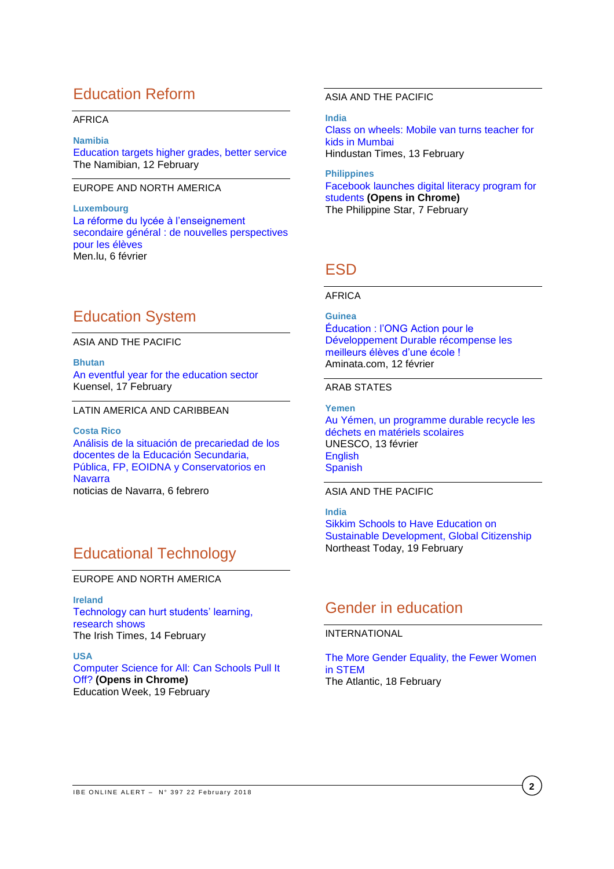# Education Reform

### AFRICA

**Namibia**

[Education targets higher grades, better service](https://www.namibian.com.na/64274/read/Education-targets-higher-grades-better-service) The Namibian, 12 February

### EUROPE AND NORTH AMERICA

**Luxembourg** [La réforme du lycée à l'enseignement](http://www.men.public.lu/fr/actualites/articles/communiques-conference-presse/2018/02/06-reforme-lycee-esg/index.html)  [secondaire général : de nouvelles perspectives](http://www.men.public.lu/fr/actualites/articles/communiques-conference-presse/2018/02/06-reforme-lycee-esg/index.html)  [pour les élèves](http://www.men.public.lu/fr/actualites/articles/communiques-conference-presse/2018/02/06-reforme-lycee-esg/index.html) Men.lu, 6 février

# Education System

ASIA AND THE PACIFIC

**Bhutan** [An eventful year for the education sector](http://www.kuenselonline.com/an-eventful-year-for-the-education-sector/) Kuensel, 17 February

#### LATIN AMERICA AND CARIBBEAN

**Costa Rico** [Análisis de la situación de precariedad de los](http://www.noticiasdenavarra.com/2018/02/06/sociedad/navarra/analisis-de-la-situacion-de-precariedad-de-los-docentes-de-la-educacion-secundaria-publica-fp-eoidna-y-conservatorios-en-navarra)  [docentes de la Educación Secundaria,](http://www.noticiasdenavarra.com/2018/02/06/sociedad/navarra/analisis-de-la-situacion-de-precariedad-de-los-docentes-de-la-educacion-secundaria-publica-fp-eoidna-y-conservatorios-en-navarra)  [Pública, FP, EOIDNA y Conservatorios en](http://www.noticiasdenavarra.com/2018/02/06/sociedad/navarra/analisis-de-la-situacion-de-precariedad-de-los-docentes-de-la-educacion-secundaria-publica-fp-eoidna-y-conservatorios-en-navarra)  [Navarra](http://www.noticiasdenavarra.com/2018/02/06/sociedad/navarra/analisis-de-la-situacion-de-precariedad-de-los-docentes-de-la-educacion-secundaria-publica-fp-eoidna-y-conservatorios-en-navarra)  noticias de Navarra, 6 febrero

# Educational Technology

EUROPE AND NORTH AMERICA

**Ireland** [Technology can hurt students' learning,](https://www.irishtimes.com/news/education/technology-can-hurt-students-learning-research-shows-1.3385864)  [research shows](https://www.irishtimes.com/news/education/technology-can-hurt-students-learning-research-shows-1.3385864)  The Irish Times, 14 February

**USA**

[Computer Science for All: Can Schools Pull It](https://www.edweek.org/ew/articles/2018/02/20/computer-science-for-all-can-schools-pull.html)  [Off?](https://www.edweek.org/ew/articles/2018/02/20/computer-science-for-all-can-schools-pull.html) **(Opens in Chrome)** Education Week, 19 February

### ASIA AND THE PACIFIC

**India**

[Class on wheels: Mobile van turns teacher for](https://www.hindustantimes.com/mumbai-news/class-on-wheels-mobile-van-turns-teacher-for-kids-in-mumbai/story-HJu84RDtbIV9WbYqnbNnQN.html)  [kids in Mumbai](https://www.hindustantimes.com/mumbai-news/class-on-wheels-mobile-van-turns-teacher-for-kids-in-mumbai/story-HJu84RDtbIV9WbYqnbNnQN.html) Hindustan Times, 13 February

**Philippines** [Facebook launches digital literacy program for](https://beta.philstar.com/headlines/2018/02/07/1785517/facebook-launches-digital-literacy-program-students)  [students](https://beta.philstar.com/headlines/2018/02/07/1785517/facebook-launches-digital-literacy-program-students) **(Opens in Chrome)** The Philippine Star, 7 February

## **FSD**

### AFRICA

**Guinea** [Éducation : l'ONG Action pour le](https://aminata.com/education-long-action-developpement-durable-recompense-meilleurs-eleves-dune-ecole/)  [Développement Durable récompense les](https://aminata.com/education-long-action-developpement-durable-recompense-meilleurs-eleves-dune-ecole/)  [meilleurs élèves d'une école !](https://aminata.com/education-long-action-developpement-durable-recompense-meilleurs-eleves-dune-ecole/) Aminata.com, 12 février

### ARAB STATES

**Yemen** [Au Yémen, un programme durable recycle les](https://fr.unesco.org/news/au-yemen-programme-durable-recycle-dechets-materiels-scolaires)  [déchets en matériels scolaires](https://fr.unesco.org/news/au-yemen-programme-durable-recycle-dechets-materiels-scolaires) UNESCO, 13 février [English](https://en.unesco.org/news/sustainable-yemen-programme-recycles-waste-school-materials) **[Spanish](https://es.unesco.org/news/yemen-programa-sostenible-recicla-desechos-material-escolar)** 

### ASIA AND THE PACIFIC

**India** [Sikkim Schools to Have Education on](https://www.northeasttoday.in/sikkim-schools-to-have-education-on-sustainable-development-global-citizenship/)  [Sustainable Development, Global Citizenship](https://www.northeasttoday.in/sikkim-schools-to-have-education-on-sustainable-development-global-citizenship/) Northeast Today, 19 February

## Gender in education

### INTERNATIONAL

[The More Gender Equality, the Fewer Women](https://www.theatlantic.com/science/archive/2018/02/the-more-gender-equality-the-fewer-women-in-stem/553592/)  [in STEM](https://www.theatlantic.com/science/archive/2018/02/the-more-gender-equality-the-fewer-women-in-stem/553592/) The Atlantic, 18 February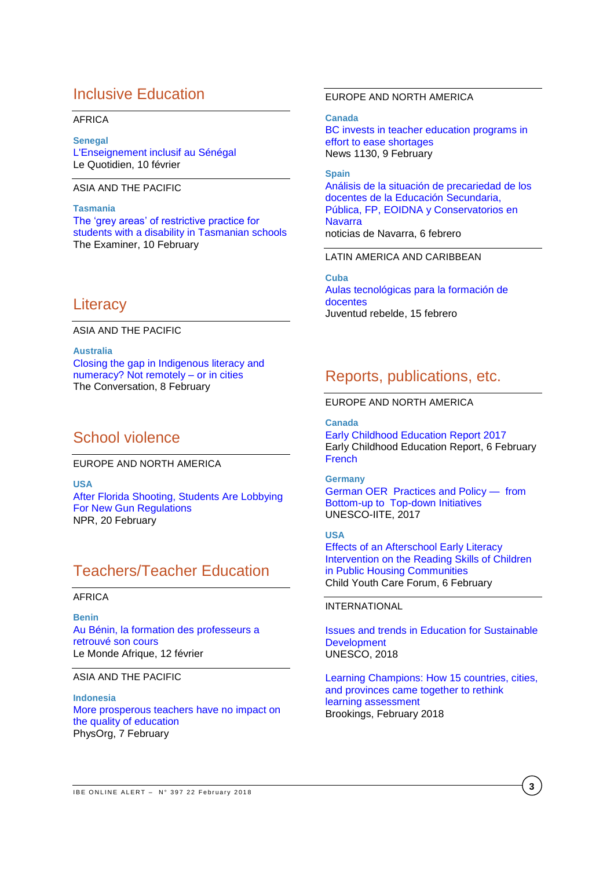## Inclusive Education

### AFRICA

**Senegal** [L'Enseignement inclusif au Sénégal](http://www.lequotidien.sn/lenseignement-inclusif-au-senegal/)  Le Quotidien, 10 février

### ASIA AND THE PACIFIC

**Tasmania** [The 'grey areas' of restrictive practice for](http://www.examiner.com.au/story/5167400/the-grey-areas-of-restrictive-practice-in-schools/)  [students with a disability in Tasmanian schools](http://www.examiner.com.au/story/5167400/the-grey-areas-of-restrictive-practice-in-schools/)  The Examiner, 10 February

## **Literacy**

ASIA AND THE PACIFIC

**Australia** [Closing the gap in Indigenous literacy and](https://theconversation.com/closing-the-gap-in-indigenous-literacy-and-numeracy-not-remotely-or-in-cities-88704)  [numeracy? Not remotely –](https://theconversation.com/closing-the-gap-in-indigenous-literacy-and-numeracy-not-remotely-or-in-cities-88704) or in cities The Conversation, 8 February

## School violence

EUROPE AND NORTH AMERICA

**USA** [After Florida Shooting, Students Are Lobbying](https://www.npr.org/2018/02/20/587375700/after-florida-shooting-students-are-lobbying-for-new-gun-regulations)  [For New Gun Regulations](https://www.npr.org/2018/02/20/587375700/after-florida-shooting-students-are-lobbying-for-new-gun-regulations) NPR, 20 February

# Teachers/Teacher Education

#### AFRICA

**Benin** [Au Bénin, la formation des professeurs a](http://www.lemonde.fr/afrique/article/2018/02/12/au-benin-la-formation-des-professeurs-a-retrouve-son-cours_5255793_3212.html)  [retrouvé son cours](http://www.lemonde.fr/afrique/article/2018/02/12/au-benin-la-formation-des-professeurs-a-retrouve-son-cours_5255793_3212.html) Le Monde Afrique, 12 février

#### ASIA AND THE PACIFIC

**Indonesia** [More prosperous teachers have no impact on](https://phys.org/news/2018-02-prosperous-teachers-impact-quality.html)  [the quality of education](https://phys.org/news/2018-02-prosperous-teachers-impact-quality.html) PhysOrg, 7 February

### EUROPE AND NORTH AMERICA

**Canada** [BC invests in teacher education programs in](http://www.news1130.com/2018/02/09/b-c-invests-in-teacher-education-programs-in-effort-to-ease-teacher-shortages/)  [effort to ease shortages](http://www.news1130.com/2018/02/09/b-c-invests-in-teacher-education-programs-in-effort-to-ease-teacher-shortages/) News 1130, 9 February

**Spain** [Análisis de la situación de precariedad de los](http://www.noticiasdenavarra.com/2018/02/06/sociedad/navarra/analisis-de-la-situacion-de-precariedad-de-los-docentes-de-la-educacion-secundaria-publica-fp-eoidna-y-conservatorios-en-navarra)  [docentes de la Educación Secundaria,](http://www.noticiasdenavarra.com/2018/02/06/sociedad/navarra/analisis-de-la-situacion-de-precariedad-de-los-docentes-de-la-educacion-secundaria-publica-fp-eoidna-y-conservatorios-en-navarra)  [Pública, FP, EOIDNA y Conservatorios en](http://www.noticiasdenavarra.com/2018/02/06/sociedad/navarra/analisis-de-la-situacion-de-precariedad-de-los-docentes-de-la-educacion-secundaria-publica-fp-eoidna-y-conservatorios-en-navarra)  **Navarra** noticias de Navarra, 6 febrero

#### LATIN AMERICA AND CARIBBEAN

**Cuba** [Aulas tecnológicas para la formación de](http://www.juventudrebelde.cu/ciencia-tecnica/2018-02-15/aulas-tecnologicas-para-la-formacion-de-docentes)  [docentes](http://www.juventudrebelde.cu/ciencia-tecnica/2018-02-15/aulas-tecnologicas-para-la-formacion-de-docentes) Juventud rebelde, 15 febrero

## Reports, publications, etc.

### EUROPE AND NORTH AMERICA

**Canada** [Early Childhood Education Report 2017](http://ecereport.ca/media/uploads/2017-report-pdfs/ece-report2017-en-feb6.pdf) Early Childhood Education Report, 6 February **[French](http://ecereport.ca/media/uploads/2017-report-pdfs/ece-report2017-fr-feb6.pdf)** 

**Germany** [German OER Practices and Policy — from](http://unesdoc.unesco.org/images/0026/002614/261446e.pdf)  [Bottom-up to Top-down Initiatives](http://unesdoc.unesco.org/images/0026/002614/261446e.pdf) UNESCO-IITE, 2017

**USA** [Effects of an Afterschool Early Literacy](https://link.springer.com/content/pdf/10.1007%2Fs10566-018-9442-5.pdf)  [Intervention on the Reading Skills of Children](https://link.springer.com/content/pdf/10.1007%2Fs10566-018-9442-5.pdf)  [in Public Housing Communities](https://link.springer.com/content/pdf/10.1007%2Fs10566-018-9442-5.pdf) Child Youth Care Forum, 6 February

### INTERNATIONAL

[Issues and trends in Education for Sustainable](http://unesdoc.unesco.org/images/0026/002614/261445e.pdf)  **Development** UNESCO, 2018

[Learning Champions: How 15 countries, cities,](https://www.brookings.edu/wp-content/uploads/2018/02/learning-champions_final.pdf)  [and provinces came together to rethink](https://www.brookings.edu/wp-content/uploads/2018/02/learning-champions_final.pdf)  [learning assessment](https://www.brookings.edu/wp-content/uploads/2018/02/learning-champions_final.pdf) Brookings, February 2018

**3**